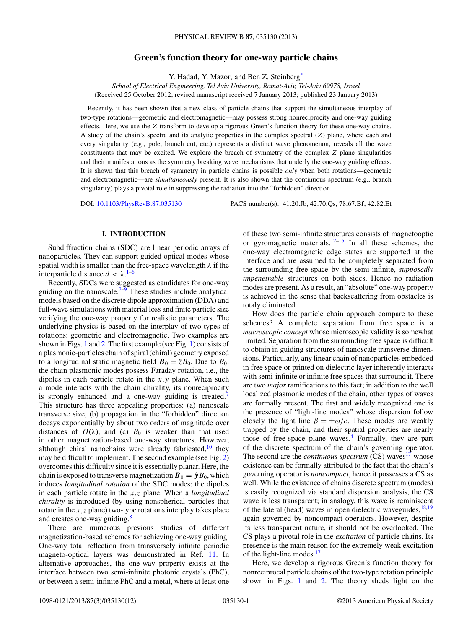# **Green's function theory for one-way particle chains**

Y. Hadad, Y. Mazor, and Ben Z. Steinber[g\\*](#page-11-0)

*School of Electrical Engineering, Tel Aviv University, Ramat-Aviv, Tel-Aviv 69978, Israel* (Received 25 October 2012; revised manuscript received 7 January 2013; published 23 January 2013)

Recently, it has been shown that a new class of particle chains that support the simultaneous interplay of two-type rotations—geometric and electromagnetic—may possess strong nonreciprocity and one-way guiding effects. Here, we use the *Z* transform to develop a rigorous Green's function theory for these one-way chains. A study of the chain's spectra and its analytic properties in the complex spectral (*Z*) plane, where each and every singularity (e.g., pole, branch cut, etc.) represents a distinct wave phenomenon, reveals all the wave constituents that may be excited. We explore the breach of symmetry of the complex *Z* plane singularities and their manifestations as the symmetry breaking wave mechanisms that underly the one-way guiding effects. It is shown that this breach of symmetry in particle chains is possible *only* when both rotations—geometric and electromagnetic—are *simultaneously* present. It is also shown that the continuous spectrum (e.g., branch singularity) plays a pivotal role in suppressing the radiation into the "forbidden" direction.

DOI: [10.1103/PhysRevB.87.035130](http://dx.doi.org/10.1103/PhysRevB.87.035130) PACS number(s): 41*.*20*.*Jb, 42*.*70*.*Qs, 78*.*67*.*Bf, 42*.*82*.*Et

## **I. INTRODUCTION**

Subdiffraction chains (SDC) are linear periodic arrays of nanoparticles. They can support guided optical modes whose spatial width is smaller than the free-space wavelength *λ* if the interparticle distance  $d < \lambda$ .<sup>[1–6](#page-11-0)</sup>

Recently, SDCs were suggested as candidates for one-way guiding on the nanoscale.<sup>7–9</sup> These studies include analytical models based on the discrete dipole approximation (DDA) and full-wave simulations with material loss and finite particle size verifying the one-way property for realistic parameters. The underlying physics is based on the interplay of two types of rotations: geometric and electromagnetic. Two examples are shown in Figs. [1](#page-1-0) and [2.](#page-1-0) The first example (see Fig. [1\)](#page-1-0) consists of a plasmonic-particles chain of spiral (chiral) geometry exposed to a longitudinal static magnetic field  $\mathbf{B}_0 = \hat{z}B_0$ . Due to  $B_0$ , the chain plasmonic modes possess Faraday rotation, i.e., the dipoles in each particle rotate in the *x,y* plane. When such a mode interacts with the chain chirality, its nonreciprocity is strongly enhanced and a one-way guiding is created.<sup>7</sup> This structure has three appealing properties: (a) nanoscale transverse size, (b) propagation in the "forbidden" direction decays exponentially by about two orders of magnitude over distances of  $O(\lambda)$ , and (c)  $B_0$  is weaker than that used in other magnetization-based one-way structures. However, although chiral nanochains were already fabricated, $10$  they may be difficult to implement. The second example (see Fig. [2\)](#page-1-0) overcomes this difficulty since it is essentially planar. Here, the chain is exposed to transverse magnetization  $B_0 = \hat{y}B_0$ , which induces *longitudinal rotation* of the SDC modes: the dipoles in each particle rotate in the *x,z* plane. When a *longitudinal chirality* is introduced (by using nonspherical particles that rotate in the *x,z* plane) two-type rotations interplay takes place and creates one-way guiding.<sup>[8](#page-11-0)</sup>

There are numerous previous studies of different magnetization-based schemes for achieving one-way guiding. One-way total reflection from transversely infinite periodic magneto-optical layers was demonstrated in Ref. [11.](#page-11-0) In alternative approaches, the one-way property exists at the interface between two semi-infinite photonic crystals (PhC), or between a semi-infinite PhC and a metal, where at least one

of these two semi-infinite structures consists of magnetooptic or gyromagnetic materials.<sup>12–16</sup> In all these schemes, the one-way electromagnetic edge states are supported at the interface and are assumed to be completely separated from the surrounding free space by the semi-infinite, *supposedly impenetrable* structures on both sides. Hence no radiation modes are present. As a result, an "absolute" one-way property is achieved in the sense that backscattering from obstacles is totaly eliminated.

How does the particle chain approach compare to these schemes? A complete separation from free space is a *macroscopic concept* whose microscopic validity is somewhat limited. Separation from the surrounding free space is difficult to obtain in guiding structures of nanoscale transverse dimensions. Particularly, any linear chain of nanoparticles embedded in free space or printed on dielectric layer inherently interacts with semi-infinite or infinite free spaces that surround it. There are two *major* ramifications to this fact; in addition to the well localized plasmonic modes of the chain, other types of waves are formally present. The first and widely recognized one is the presence of "light-line modes" whose dispersion follow closely the light line  $\beta = \pm \omega/c$ . These modes are weakly trapped by the chain, and their spatial properties are nearly those of free-space plane waves. $4$  Formally, they are part of the discrete spectrum of the chain's governing operator. The second are the *continuous spectrum* (CS) waves<sup>[17](#page-11-0)</sup> whose existence can be formally attributed to the fact that the chain's governing operator is *noncompact*, hence it possesses a CS as well. While the existence of chains discrete spectrum (modes) is easily recognized via standard dispersion analysis, the CS wave is less transparent; in analogy, this wave is reminiscent of the lateral (head) waves in open dielectric waveguides,  $^{18,19}$  $^{18,19}$  $^{18,19}$ again governed by noncompact operators. However, despite its less transparent nature, it should not be overlooked. The CS plays a pivotal role in the *excitation* of particle chains. Its presence is the main reason for the extremely weak excitation of the light-line modes.<sup>[17](#page-11-0)</sup>

Here, we develop a rigorous Green's function theory for nonreciprocal particle chains of the two-type rotation principle shown in Figs. [1](#page-1-0) and [2.](#page-1-0) The theory sheds light on the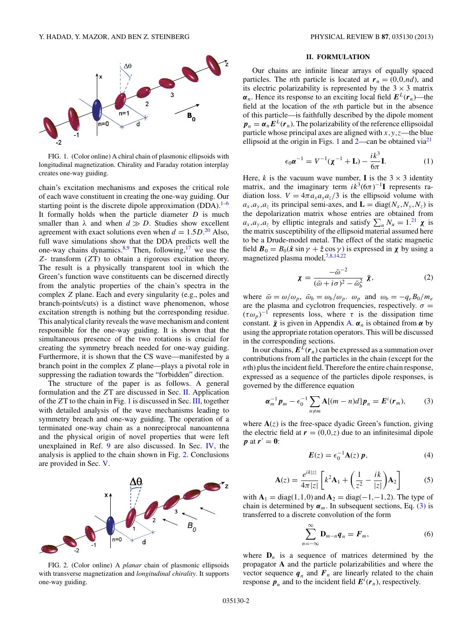<span id="page-1-0"></span>

FIG. 1. (Color online) A chiral chain of plasmonic ellipsoids with longitudinal magnetization. Chirality and Faraday rotation interplay creates one-way guiding.

chain's excitation mechanisms and exposes the critical role of each wave constituent in creating the one-way guiding. Our starting point is the discrete dipole approximation  $(DDA)$ .<sup>[1–6](#page-11-0)</sup> It formally holds when the particle diameter *D* is much smaller than  $\lambda$  and when  $d \gg D$ . Studies show excellent agreement with exact solutions even when  $d = 1.5D<sup>20</sup>$  $d = 1.5D<sup>20</sup>$  $d = 1.5D<sup>20</sup>$  Also, full wave simulations show that the DDA predicts well the one-way chains dynamics.<sup>8,9</sup> Then, following,<sup>[17](#page-11-0)</sup> we use the *Z*- transform (*Z*T) to obtain a rigorous excitation theory. The result is a physically transparent tool in which the Green's function wave constituents can be discerned directly from the analytic properties of the chain's spectra in the complex *Z* plane. Each and every singularity (e.g., poles and branch-points/cuts) is a distinct wave phenomenon, whose excitation strength is nothing but the corresponding residue. This analytical clarity reveals the wave mechanism and content responsible for the one-way guiding. It is shown that the simultaneous presence of the two rotations is crucial for creating the symmetry breach needed for one-way guiding. Furthermore, it is shown that the CS wave—manifested by a branch point in the complex *Z* plane—plays a pivotal role in suppressing the radiation towards the "forbidden" direction.

The structure of the paper is as follows. A general formulation and the *Z*T are discussed in Sec. II. Application of the *Z*T to the chain in Fig. 1 is discussed in Sec. [III,](#page-3-0) together with detailed analysis of the wave mechanisms leading to symmetry breach and one-way guiding. The operation of a terminated one-way chain as a nonreciprocal nanoantenna and the physical origin of novel properties that were left unexplained in Ref. [9](#page-11-0) are also discussed. In Sec. [IV,](#page-7-0) the analysis is applied to the chain shown in Fig. 2. Conclusions are provided in Sec. [V.](#page-9-0)



FIG. 2. (Color online) A *planar* chain of plasmonic ellipsoids with transverse magnetization and *longitudinal chirality*. It supports one-way guiding.

#### **II. FORMULATION**

Our chains are infinite linear arrays of equally spaced particles. The *n*th particle is located at  $r_n = (0,0,nd)$ , and its electric polarizability is represented by the  $3 \times 3$  matrix  $\alpha_n$ . Hence its response to an exciting local field  $E^L(r_n)$ —the field at the location of the *n*th particle but in the absence of this particle—is faithfully described by the dipole moment  $p_n = \alpha_n E^L(r_n)$ . The polarizability of the reference ellipsoidal particle whose principal axes are aligned with  $x, y, z$ —the blue ellipsoid at the origin in Figs. 1 and  $2$ —can be obtained via $2<sup>1</sup>$ 

$$
\epsilon_0 \alpha^{-1} = V^{-1} (\chi^{-1} + \mathbf{L}) - \frac{ik^3}{6\pi} \mathbf{I}.
$$
 (1)

Here, *k* is the vacuum wave number, **I** is the  $3 \times 3$  identity matrix, and the imaginary term  $ik^3(6\pi)^{-1}$ **I** represents radiation loss.  $V = 4\pi a_x a_y a_z/3$  is the ellipsoid volume with  $a_x$ , $a_y$ , $a_z$  its principal semi-axes, and  $\mathbf{L} = \text{diag}(N_x, N_y, N_z)$  is the depolarization matrix whose entries are obtained from  $a_x, a_y, a_z$  by elliptic integrals and satisfy  $\sum_u N_u = 1.21 \times \text{X}$  $\sum_u N_u = 1.21 \times \text{X}$  $\sum_u N_u = 1.21 \times \text{X}$  is the matrix susceptibility of the ellipsoid material assumed here to be a Drude-model metal. The effect of the static magnetic field  $\mathbf{B}_0 = B_0(\hat{\mathbf{x}} \sin \gamma + \hat{\mathbf{z}} \cos \gamma)$  is expressed in  $\chi$  by using a magnetized plasma model,<sup>[7,8,14,22](#page-11-0)</sup>

$$
\chi = \frac{-\bar{\omega}^{-2}}{(\bar{\omega} + i\sigma)^2 - \bar{\omega}_b^2} \bar{\chi},\tag{2}
$$

where  $\bar{\omega} = \omega/\omega_p$ ,  $\bar{\omega}_b = \omega_b/\omega_p$ .  $\omega_p$  and  $\omega_b = -q_e B_0/m_e$ are the plasma and cyclotron frequencies, respectively.  $\sigma =$  $(\tau \omega_p)^{-1}$  represents loss, where  $\tau$  is the dissipation time constant.  $\bar{\chi}$  is given in Appendix [A.](#page-9-0)  $\alpha_n$  is obtained from  $\alpha$  by using the appropriate rotation operators. This will be discussed in the corresponding sections.

In our chains,  $E^{L}(r_n)$  can be expressed as a summation over contributions from all the particles in the chain (except for the *n*th) plus the incident field. Therefore the entire chain response, expressed as a sequence of the particles dipole responses, is governed by the difference equation

$$
\boldsymbol{\alpha}_m^{-1}\boldsymbol{p}_m - \epsilon_0^{-1} \sum_{n \neq m} \mathbf{A}[(m-n)d] \boldsymbol{p}_n = \boldsymbol{E}^i(\boldsymbol{r}_m), \qquad (3)
$$

where  $A(z)$  is the free-space dyadic Green's function, giving the electric field at  $r = (0,0,z)$  due to an infinitesimal dipole *p* at  $r' = 0$ :

$$
E(z) = \epsilon_0^{-1} \mathbf{A}(z) \, \mathbf{p},\tag{4}
$$

$$
\mathbf{A}(z) = \frac{e^{ik|z|}}{4\pi|z|} \left[ k^2 \mathbf{A}_1 + \left( \frac{1}{z^2} - \frac{ik}{|z|} \right) \mathbf{A}_2 \right] \tag{5}
$$

with  $\mathbf{A}_1 = \text{diag}(1,1,0)$  and  $\mathbf{A}_2 = \text{diag}(-1,-1,2)$ . The type of chain is determined by  $\alpha_m$ . In subsequent sections, Eq. (3) is transferred to a discrete convolution of the form

$$
\sum_{n=-\infty}^{\infty} \mathbf{D}_{m-n} \boldsymbol{q}_n = \boldsymbol{F}_m, \tag{6}
$$

where  $D_n$  is a sequence of matrices determined by the propagator **A** and the particle polarizabilities and where the vector sequence  $q_n$  and  $F_n$  are linearly related to the chain response  $p_n$  and to the incident field  $E^i(r_n)$ , respectively.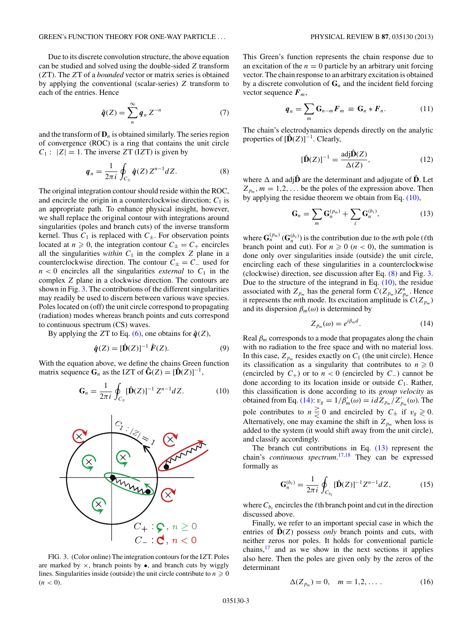<span id="page-2-0"></span>Due to its discrete convolution structure, the above equation can be studied and solved using the double-sided *Z* transform (*Z*T). The *Z*T of a *bounded* vector or matrix series is obtained by applying the conventional (scalar-series) *Z* transform to each of the entries. Hence

$$
\hat{q}(Z) = \sum_{n}^{\infty} q_n Z^{-n} \tag{7}
$$

and the transform of  $\mathbf{D}_n$  is obtained similarly. The series region of convergence (ROC) is a ring that contains the unit circle  $C_1$  :  $|Z| = 1$ . The inverse *Z*T (I*Z*T) is given by

$$
\boldsymbol{q}_n = \frac{1}{2\pi i} \oint_{C_{\pm}} \hat{\boldsymbol{q}}(Z) \, Z^{n-1} dZ. \tag{8}
$$

The original integration contour should reside within the ROC, and encircle the origin in a counterclockwise direction;  $C_1$  is an appropriate path. To enhance physical insight, however, we shall replace the original contour with integrations around singularities (poles and branch cuts) of the inverse transform kernel. Thus  $C_1$  is replaced with  $C_{\pm}$ . For observation points located at  $n \geq 0$ , the integration contour  $C_{\pm} = C_{+}$  encircles all the singularities *within*  $C_1$  in the complex  $Z$  plane in a counterclockwise direction. The contour  $C_{\pm} = C_{-}$  used for  $n < 0$  encircles all the singularities *external* to  $C_1$  in the complex *Z* plane in a clockwise direction. The contours are shown in Fig. 3. The contributions of the different singularities may readily be used to discern between various wave species. Poles located on (off) the unit circle correspond to propagating (radiation) modes whereas branch points and cuts correspond to continuous spectrum (CS) waves.

By applying the *Z*T to Eq. [\(6\),](#page-1-0) one obtains for  $\hat{q}(Z)$ ,

$$
\hat{\boldsymbol{q}}(Z) = [\hat{\mathbf{D}}(Z)]^{-1} \hat{\boldsymbol{F}}(Z). \tag{9}
$$

With the equation above, we define the chains Green function matrix sequence  $\mathbf{G}_n$  as the IZT of  $\hat{\mathbf{G}}(Z) = [\hat{\mathbf{D}}(Z)]^{-1}$ ,

$$
\mathbf{G}_n = \frac{1}{2\pi i} \oint_{C_{\pm}} [\hat{\mathbf{D}}(Z)]^{-1} Z^{n-1} dZ.
$$
 (10)



FIG. 3. (Color online) The integration contours for the I*Z*T. Poles are marked by  $\times$ , branch points by  $\bullet$ , and branch cuts by wiggly lines. Singularities inside (outside) the unit circle contribute to  $n \geq 0$  $(n < 0)$ .

This Green's function represents the chain response due to an excitation of the  $n = 0$  particle by an arbitrary unit forcing vector. The chain response to an arbitrary excitation is obtained by a discrete convolution of  $G_n$  and the incident field forcing vector sequence  $F_m$ ,

$$
\boldsymbol{q}_n = \sum_m \mathbf{G}_{n-m} \boldsymbol{F}_m \equiv \mathbf{G}_n * \boldsymbol{F}_n. \tag{11}
$$

The chain's electrodynamics depends directly on the analytic properties of  $[\hat{\mathbf{D}}(Z)]^{-1}$ . Clearly,

$$
[\hat{\mathbf{D}}(Z)]^{-1} = \frac{\text{adj}\hat{\mathbf{D}}(Z)}{\Delta(Z)},
$$
\n(12)

where  $\Delta$  and adj $\hat{\mathbf{D}}$  are the determinant and adjugate of  $\hat{\mathbf{D}}$ . Let  $Z_{p_m}$ ,  $m = 1, 2, \ldots$  be the poles of the expression above. Then by applying the residue theorem we obtain from Eq. (10),

$$
\mathbf{G}_n = \sum_m \mathbf{G}_n^{(p_m)} + \sum_{\ell} \mathbf{G}_n^{(b_\ell)},\tag{13}
$$

where  $\mathbf{G}_n^{(p_m)}(\mathbf{G}_n^{(b_\ell)})$  is the contribution due to the *m*th pole ( $\ell$ th branch point and cut). For  $n \geq 0$  ( $n < 0$ ), the summation is done only over singularities inside (outside) the unit circle, encircling each of these singularities in a counterclockwise (clockwise) direction, see discussion after Eq. (8) and Fig. 3. Due to the structure of the integrand in Eq.  $(10)$ , the residue associated with  $Z_{p_m}$  has the general form  $C(Z_{p_m})Z_{p_m}^n$ . Hence it represents the *m*th mode. Its excitation amplitude is  $C(Z_{p_m})$ and its dispersion  $\beta_m(\omega)$  is determined by

$$
Z_{p_m}(\omega) = e^{i\beta_m d}.\tag{14}
$$

Real  $\beta_m$  corresponds to a mode that propagates along the chain with no radiation to the free space and with no material loss. In this case,  $Z_{p_m}$  resides exactly on  $C_1$  (the unit circle). Hence its classification as a singularity that contributes to  $n \geq 0$ (encircled by  $C_+$ ) or to  $n < 0$  (encircled by  $C_-$ ) cannot be done according to its location inside or outside  $C_1$ . Rather, this classification is done according to its *group velocity* as obtained from Eq. (14): *v<sub>g</sub>* =  $1/\beta'_{m}(\omega) = i dZ_{p_{m}}/Z'_{p_{m}}(\omega)$ . The pole contributes to  $n \geq 0$  and encircled by  $C_{\pm}$  if  $v_g \geq 0$ . Alternatively, one may examine the shift in  $Z_{p_m}$  when loss is added to the system (it would shift away from the unit circle), and classify accordingly.

The branch cut contributions in Eq. (13) represent the chain's *continuous spectrum*. [17,18](#page-11-0) They can be expressed formally as

$$
\mathbf{G}_n^{(b_\ell)} = \frac{1}{2\pi i} \oint_{C_{b_\ell}} [\hat{\mathbf{D}}(Z)]^{-1} Z^{n-1} dZ, \tag{15}
$$

where  $C_{b_\ell}$  encircles the  $\ell$ th branch point and cut in the direction discussed above.

Finally, we refer to an important special case in which the entries of  $\hat{D}(Z)$  possess *only* branch points and cuts, with neither zeros nor poles. It holds for conventional particle chains, $17$  and as we show in the next sections it applies also here. Then the poles are given only by the zeros of the determinant

$$
\Delta(Z_{p_m}) = 0, \quad m = 1, 2, \dots \,.
$$
 (16)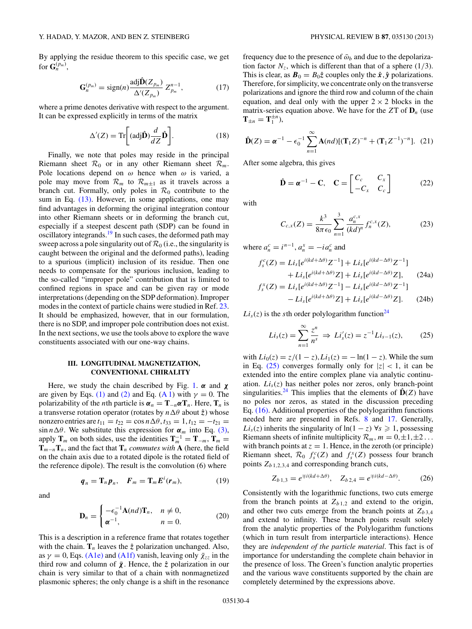<span id="page-3-0"></span>By applying the residue theorem to this specific case, we get for  $\mathbf{G}_n^{(p_m)}$ ,

$$
\mathbf{G}_n^{(p_m)} = \text{sign}(n) \frac{\text{adj}\hat{\mathbf{D}}(Z_{p_m})}{\Delta'(Z_{p_m})} Z_{p_m}^{n-1},\tag{17}
$$

where a prime denotes derivative with respect to the argument. It can be expressed explicitly in terms of the matrix

$$
\Delta'(Z) = \text{Tr}\bigg[ (\text{adj}\hat{\mathbf{D}}) \frac{d}{dZ} \hat{\mathbf{D}} \bigg]. \tag{18}
$$

Finally, we note that poles may reside in the principal Riemann sheet  $\mathcal{R}_0$  or in any other Riemann sheet  $\mathcal{R}_m$ . Pole locations depend on *ω* hence when *ω* is varied, a pole may move from  $\mathcal{R}_m$  to  $\mathcal{R}_{m\pm 1}$  as it travels across a branch cut. Formally, only poles in  $\mathcal{R}_0$  contribute to the sum in Eq. [\(13\).](#page-2-0) However, in some applications, one may find advantages in deforming the original integration contour into other Riemann sheets or in deforming the branch cut, especially if a steepest descent path (SDP) can be found in oscillatory integrands.<sup>19</sup> In such cases, the deformed path may sweep across a pole singularity out of  $\mathcal{R}_0$  (i.e., the singularity is caught between the original and the deformed paths), leading to a spurious (implicit) inclusion of its residue. Then one needs to compensate for the spurious inclusion, leading to the so-called "improper pole" contribution that is limited to confined regions in space and can be given ray or mode interpretations (depending on the SDP deformation). Improper modes in the context of particle chains were studied in Ref. [23.](#page-11-0) It should be emphasized, however, that in our formulation, there is no SDP, and improper pole contribution does not exist. In the next sections, we use the tools above to explore the wave constituents associated with our one-way chains.

### **III. LONGITUDINAL MAGNETIZATION, CONVENTIONAL CHIRALITY**

Here, we study the chain described by Fig. [1.](#page-1-0) *α* and *χ* are given by Eqs. [\(1\)](#page-1-0) and [\(2\)](#page-1-0) and Eq. [\(A 1\)](#page-9-0) with  $\gamma = 0$ . The polarizability of the *n*th particle is  $\alpha_n = \mathbf{T}_{-n} \alpha \mathbf{T}_n$ . Here,  $\mathbf{T}_n$  is a transverse rotation operator (rotates by *n*Δ $\theta$  about  $\hat{z}$ ) whose nonzero entries are  $t_{11} = t_{22} = \cos n \Delta \theta, t_{33} = 1, t_{12} = -t_{21} =$  $\sin n\Delta\theta$ . We substitute this expression for  $\alpha_m$  into Eq. [\(3\),](#page-1-0) apply  $\mathbf{T}_m$  on both sides, use the identities  $\mathbf{T}_m^{-1} = \mathbf{T}_{-m}$ ,  $\mathbf{T}_m =$  $\mathbf{T}_{m-n}\mathbf{T}_n$ , and the fact that  $\mathbf{T}_n$  *commutes with* **A** (here, the field on the chain axis due to a rotated dipole is the rotated field of the reference dipole). The result is the convolution (6) where

and

$$
\boldsymbol{q}_n = \mathbf{T}_n \boldsymbol{p}_n, \quad \boldsymbol{F}_m = \mathbf{T}_m E^i(\boldsymbol{r}_m), \tag{19}
$$

$$
\mathbf{D}_n = \begin{cases} -\epsilon_0^{-1} \mathbf{A}(nd) \mathbf{T}_n, & n \neq 0, \\ \boldsymbol{\alpha}^{-1}, & n = 0. \end{cases}
$$
 (20)

This is a description in a reference frame that rotates together with the chain.  $\mathbf{T}_n$  leaves the  $\hat{z}$  polarization unchanged. Also, as  $\gamma = 0$ , Eqs. [\(A1e\)](#page-9-0) and [\(A1f\)](#page-9-0) vanish, leaving only  $\bar{\chi}_{zz}$  in the third row and column of  $\bar{\chi}$ . Hence, the  $\hat{z}$  polarization in our chain is very similar to that of a chain with nonmagnetized plasmonic spheres; the only change is a shift in the resonance

frequency due to the presence of  $\bar{\omega}_b$  and due to the depolarization factor  $N_z$ , which is different than that of a sphere (1/3). This is clear, as  $\mathbf{B}_0 = B_0 \hat{z}$  couples only the  $\hat{x}$ ,  $\hat{y}$  polarizations. Therefore, for simplicity, we concentrate only on the transverse polarizations and ignore the third row and column of the chain equation, and deal only with the upper  $2 \times 2$  blocks in the matrix-series equation above. We have for the  $ZT$  of  $D<sub>n</sub>$  (use  $\mathbf{T}_{\pm n} = \mathbf{T}_1^{\pm n}$ ),

$$
\hat{\mathbf{D}}(Z) = \boldsymbol{\alpha}^{-1} - \epsilon_0^{-1} \sum_{n=1}^{\infty} \mathbf{A}(nd) [(\mathbf{T}_1 Z)^{-n} + (\mathbf{T}_1 Z^{-1})^{-n}]. \tag{21}
$$

After some algebra, this gives

$$
\hat{\mathbf{D}} = \boldsymbol{\alpha}^{-1} - \mathbf{C}, \quad \mathbf{C} = \begin{bmatrix} C_c & C_x \\ -C_x & C_c \end{bmatrix} \tag{22}
$$

with

 $f_s^{\lambda}$ 

$$
C_{c,x}(Z) = \frac{k^3}{8\pi\epsilon_0} \sum_{n=1}^3 \frac{a_n^{c,x}}{(kd)^n} f_n^{c,x}(Z),
$$
 (23)

where  $a_n^c = i^{n-1}$ ,  $a_n^x = -i a_n^c$  and

$$
f_s^c(Z) = Li_s[e^{i(kd+\Delta\theta)}Z^{-1}] + Li_s[e^{i(kd-\Delta\theta)}Z^{-1}]
$$
  
+ 
$$
Li_s[e^{i(kd+\Delta\theta)}Z] + Li_s[e^{i(kd-\Delta\theta)}Z],
$$
 (24a)

$$
L_{s}(Z) = Li_{s}[e^{i(kd+\Delta\theta)}Z^{-1}] - Li_{s}[e^{i(kd-\Delta\theta)}Z^{-1}] - Li_{s}[e^{i(kd+\Delta\theta)}Z] + Li_{s}[e^{i(kd-\Delta\theta)}Z].
$$
 (24b)

 $Li_s(z)$  is the *s*th order polylogarithm function<sup>24</sup>

$$
Li_s(z) = \sum_{n=1}^{\infty} \frac{z^n}{n^s} \implies Li_s'(z) = z^{-1} Li_{s-1}(z), \quad (25)
$$

with  $Li_0(z) = z/(1 - z)$ ,  $Li_1(z) = -\ln(1 - z)$ . While the sum in Eq. (25) converges formally only for  $|z| < 1$ , it can be extended into the entire complex plane via analytic continuation.  $Li<sub>s</sub>(z)$  has neither poles nor zeros, only branch-point singularities.<sup>[24](#page-11-0)</sup> This implies that the elements of  $\hat{D}(Z)$  have no poles nor zeros, as stated in the discussion preceding Eq. [\(16\).](#page-2-0) Additional properties of the polylogarithm functions needed here are presented in Refs. [8](#page-11-0) and [17.](#page-11-0) Generally, *Li<sub>s</sub>*(*z*) inherits the singularity of  $ln(1 - z)$   $\forall s \ge 1$ , possessing Riemann sheets of infinite multiplicity  $\mathcal{R}_m$ ,  $m = 0, \pm 1, \pm 2, \ldots$ with branch points at  $z = 1$ . Hence, in the zeroth (or principle) Riemann sheet,  $\mathcal{R}_0$   $f_s^c(Z)$  and  $f_s^x(Z)$  possess four branch points  $Z_{b_1, 2, 3, 4}$  and corresponding branch cuts,

$$
Z_{b1,3} = e^{\mp i(kd + \Delta\theta)}, \quad Z_{b2,4} = e^{\mp i(kd - \Delta\theta)}.
$$
 (26)

Consistently with the logarithmic functions, two cuts emerge from the branch points at  $Z_{b1,2}$  and extend to the origin, and other two cuts emerge from the branch points at  $Z_{b,3,4}$ and extend to infinity. These branch points result solely from the analytic properties of the Polylogarithm functions (which in turn result from interparticle interactions). Hence they are *independent of the particle material*. This fact is of importance for understanding the complete chain behavior in the presence of loss. The Green's function analytic properties and the various wave constituents supported by the chain are completely determined by the expressions above.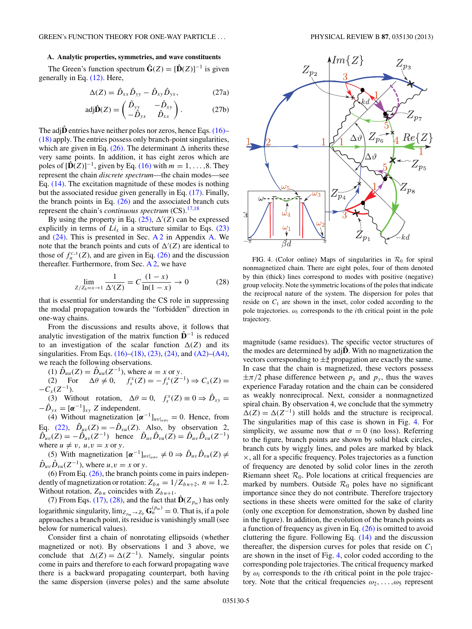## **A. Analytic properties, symmetries, and wave constituents**

The Green's function spectrum  $\hat{G}(Z) = [\hat{D}(Z)]^{-1}$  is given generally in Eq. [\(12\).](#page-2-0) Here,

$$
\Delta(Z) = \hat{D}_{xx}\hat{D}_{yy} - \hat{D}_{xy}\hat{D}_{yx},\qquad (27a)
$$

$$
adj\hat{\mathbf{D}}(Z) = \begin{pmatrix} \hat{D}_{yy} & -\hat{D}_{xy} \\ -\hat{D}_{yx} & \hat{D}_{xx} \end{pmatrix}.
$$
 (27b)

The adj $\hat{\mathbf{D}}$  entries have neither poles nor zeros, hence Eqs. [\(16\)–](#page-2-0) [\(18\)](#page-3-0) apply. The entries possess only branch-point singularities, which are given in Eq.  $(26)$ . The determinant  $\Delta$  inherits these very same points. In addition, it has eight zeros which are poles of  $[\hat{D}(Z)]^{-1}$ , given by Eq. [\(16\)](#page-2-0) with  $m = 1, \ldots, 8$ . They represent the chain *discrete spectrum*—the chain modes—see Eq. [\(14\).](#page-2-0) The excitation magnitude of these modes is nothing but the associated residue given generally in Eq. [\(17\).](#page-3-0) Finally, the branch points in Eq.  $(26)$  and the associated branch cuts represent the chain's *continuous spectrum* (CS).[17,18](#page-11-0)

By using the property in Eq.  $(25)$ ,  $\Delta'(Z)$  can be expressed explicitly in terms of  $Li<sub>s</sub>$  in a structure similar to Eqs. [\(23\)](#page-3-0) and  $(24)$ . This is presented in Sec. [A 2](#page-9-0) in Appendix [A.](#page-9-0) We note that the branch points and cuts of  $\Delta'(Z)$  are identical to those of  $f_n^{c,x}(Z)$ , and are given in Eq. [\(26\)](#page-3-0) and the discussion thereafter. Furthermore, from Sec.  $A$  2, we have

$$
\lim_{Z/Z_b = x \to 1} \frac{1}{\Delta'(Z)} = C \frac{(1-x)}{\ln(1-x)} \to 0
$$
 (28)

that is essential for understanding the CS role in suppressing the modal propagation towards the "forbidden" direction in one-way chains.

From the discussions and results above, it follows that analytic investigation of the matrix function  $\hat{\mathbf{D}}^{-1}$  is reduced to an investigation of the scalar function  $\Delta(Z)$  and its singularities. From Eqs.  $(16)$ – $(18)$ ,  $(23)$ ,  $(24)$ , and  $(A2)$ – $(A4)$ , we reach the following observations.

(1)  $\hat{D}_{uu}(Z) = \hat{D}_{uu}(Z^{-1})$ , where  $u = x$  or *y*.

(2) For  $\Delta \theta \neq 0$ ,  $f_s^x(Z) = -f_s^x(Z^{-1}) \Rightarrow C_x(Z) =$  $-C_r(Z^{-1})$ .

(3) Without rotation,  $\Delta \theta = 0$ ,  $f_s^x(Z) \equiv 0 \Rightarrow \hat{D}_{xy} = 0$  $-\hat{D}_{vx} = [\alpha^{-1}]_{xv}$  *Z* independent.

(4) Without magnetization  $[\boldsymbol{\alpha}^{-1}]_{uv}|_{u \neq v} = 0$ . Hence, from Eq. [\(22\),](#page-3-0)  $\hat{D}_{uv}(Z) = -\hat{D}_{vu}(Z)$ . Also, by observation 2,  $\hat{D}_{uv}(Z) = -\hat{D}_{uv}(Z^{-1})$  hence  $\hat{D}_{uv}\hat{D}_{vu}(Z) = \hat{D}_{uv}\hat{D}_{vu}(Z^{-1})$ where  $u \neq v$ ,  $u, v = x$  or *y*.

(5) With magnetization  $[\alpha^{-1}]_{uv}\|_{u\neq v}\neq 0 \Rightarrow \hat{D}_{uv}\hat{D}_{vu}(Z)\neq 0$  $\hat{D}_{uv}\hat{D}_{vu}(Z^{-1})$ , where  $u, v = x$  or *y*.

(6) From Eq. [\(26\),](#page-3-0) the branch points come in pairs independently of magnetization or rotation:  $Z_{bn} = 1/Z_{bn+2}$ ,  $n = 1,2$ . Without rotation,  $Z_{bn}$  coincides with  $Z_{bn+1}$ .

(7) From Eqs. [\(17\),](#page-3-0) (28), and the fact that  $\hat{\mathbf{D}}(Z_{p_m})$  has only logarithmic singularity,  $\lim_{z_{pm}\to z_b} G_n^{(p_m)} = 0$ . That is, if a pole approaches a branch point, its residue is vanishingly small (see below for numerical values).

Consider first a chain of nonrotating ellipsoids (whether magnetized or not). By observations 1 and 3 above, we conclude that  $\Delta(Z) = \Delta(Z^{-1})$ . Namely, singular points come in pairs and therefore to each forward propagating wave there is a backward propagating counterpart, both having the same dispersion (inverse poles) and the same absolute

 $\dot{\omega}_4$ Ñ  $Z_{p_1}$  $kd$  $\beta d$ FIG. 4. (Color online) Maps of singularities in  $\mathcal{R}_0$  for spiral

nonmagnetized chain. There are eight poles, four of them denoted by thin (thick) lines correspond to modes with positive (negative) group velocity. Note the symmetric locations of the poles that indicate the reciprocal nature of the system. The dispersion for poles that reside on  $C_1$  are shown in the inset, color coded according to the pole trajectories.  $\omega_i$  corresponds to the *i*th critical point in the pole trajectory.

magnitude (same residues). The specific vector structures of the modes are determined by adj $\hat{D}$ . With no magnetization the vectors corresponding to  $\pm \hat{z}$  propagation are exactly the same. In case that the chain is magnetized, these vectors possess  $\pm \pi/2$  phase difference between  $p_x$  and  $p_y$ , thus the waves experience Faraday rotation and the chain can be considered as weakly nonreciprocal. Next, consider a nonmagnetized spiral chain. By observation 4, we conclude that the symmetry  $\Delta(Z) = \Delta(Z^{-1})$  still holds and the structure is reciprocal. The singularities map of this case is shown in Fig. 4. For simplicity, we assume now that  $\sigma = 0$  (no loss). Referring to the figure, branch points are shown by solid black circles, branch cuts by wiggly lines, and poles are marked by black ×, all for a specific frequency. Poles trajectories as a function of frequency are denoted by solid color lines in the zeroth Riemann sheet  $\mathcal{R}_0$ . Pole locations at critical frequencies are marked by numbers. Outside  $\mathcal{R}_0$  poles have no significant importance since they do not contribute. Therefore trajectory sections in these sheets were omitted for the sake of clarity (only one exception for demonstration, shown by dashed line in the figure). In addition, the evolution of the branch points as a function of frequency as given in Eq. [\(26\)](#page-3-0) is omitted to avoid cluttering the figure. Following Eq. [\(14\)](#page-2-0) and the discussion thereafter, the dispersion curves for poles that reside on  $C_1$ are shown in the inset of Fig. 4, color coded according to the corresponding pole trajectories. The critical frequency marked by  $\omega_i$  corresponds to the *i*th critical point in the pole trajectory. Note that the critical frequencies *ω*2*, . . . ,ω*<sup>5</sup> represent

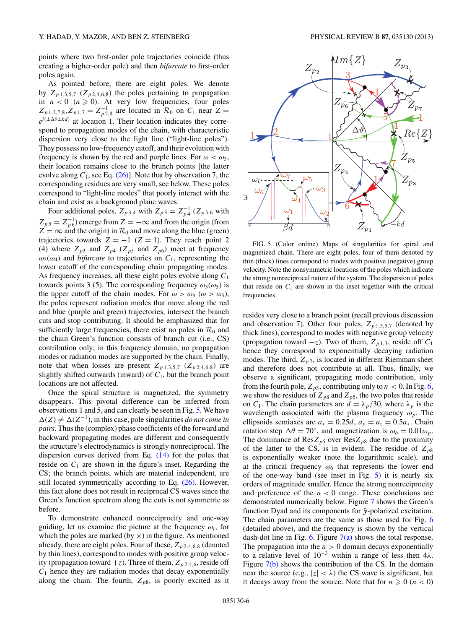<span id="page-5-0"></span>points where two first-order pole trajectories coincide (thus creating a higher-order pole) and then *bifurcate* to first-order poles again.

As pointed before, there are eight poles. We denote by  $Z_{p1,3,5,7}$  ( $Z_{p2,4,6,8}$ ) the poles pertaining to propagation in  $n < 0$  ( $n \ge 0$ ). At very low frequencies, four poles  $Z_{p1,2,7,8}, Z_{p1,7} = Z_{p2,8}^{-1}$  are located in  $\mathcal{R}_0$  on  $C_1$  near  $Z =$  $e^{i(\pm \Delta \theta \pm k d)}$  at location 1. Their location indicates they correspond to propagation modes of the chain, with characteristic dispersion very close to the light line ("light-line poles"). They possess no low-frequency cutoff, and their evolution with frequency is shown by the red and purple lines. For  $\omega < \omega_3$ , their location remains close to the brunch points [the latter evolve along  $C_1$ , see Eq. [\(26\)\]](#page-3-0). Note that by observation 7, the corresponding residues are very small, see below. These poles correspond to "light-line modes" that poorly interact with the chain and exist as a background plane waves.

Four additional poles,  $Z_{p3,4}$  with  $Z_{p3} = Z_{p4}^{-1}$  ( $Z_{p5,6}$  with  $Z_{p5} = Z_{p6}^{-1}$ ) emerge from  $Z = -\infty$  and from the origin (from  $Z = \infty$  and the origin) in  $\mathcal{R}_0$  and move along the blue (green) trajectories towards  $Z = -1$  ( $Z = 1$ ). They reach point 2 (4) where  $Z_{p3}$  and  $Z_{p4}$  ( $Z_{p5}$  and  $Z_{p6}$ ) meet at frequency  $\omega_2(\omega_4)$  and *bifurcate* to trajectories on  $C_1$ , representing the lower cutoff of the corresponding chain propagating modes. As frequency increases, all these eight poles evolve along *C*<sup>1</sup> towards points 3 (5). The corresponding frequency  $\omega_3(\omega_5)$  is the upper cutoff of the chain modes. For  $\omega > \omega_3$  ( $\omega > \omega_5$ ), the poles represent radiation modes that move along the red and blue (purple and green) trajectories, intersect the branch cuts and stop contributing. It should be emphasized that for sufficiently large frequencies, there exist no poles in  $\mathcal{R}_0$  and the chain Green's function consists of branch cut (i.e., CS) contribution only; in this frequency domain, no propagation modes or radiation modes are supported by the chain. Finally, note that when losses are present  $Z_{p_1,3,5,7}$  ( $Z_{p_2,4,6,8}$ ) are slightly shifted outwards (inward) of *C*1, but the branch point locations are not affected.

Once the spiral structure is magnetized, the symmetry disappears. This pivotal difference can be inferred from observations 1 and 5, and can clearly be seen in Fig. 5. We have  $\Delta(Z) \neq \Delta(Z^{-1})$ , in this case, pole singularities *do not come in pairs*. Thus the (complex) phase coefficients of the forward and backward propagating modes are different and consequently the structure's electrodynamics is strongly nonreciprocal. The dispersion curves derived from Eq. [\(14\)](#page-2-0) for the poles that reside on  $C_1$  are shown in the figure's inset. Regarding the CS; the branch points, which are material independent, are still located symmetrically according to Eq. [\(26\).](#page-3-0) However, this fact alone does not result in reciprocal CS waves since the Green's function spectrum along the cuts is not symmetric as before.

To demonstrate enhanced nonreciprocity and one-way guiding, let us examine the picture at the frequency  $\omega_l$ , for which the poles are marked (by  $\times$ ) in the figure. As mentioned already, there are eight poles. Four of these, *Zp* <sup>2</sup>*,*4*,*6*,*<sup>8</sup> (denoted by thin lines), correspond to modes with positive group velocity (propagation toward  $+z$ ). Three of them,  $Z_{p,2,4,6}$ , reside off  $C_1$  hence they are radiation modes that decay exponentially along the chain. The fourth,  $Z_{p8}$ , is poorly excited as it



FIG. 5. (Color online) Maps of singularities for spiral and magnetized chain. There are eight poles, four of them denoted by thin (thick) lines correspond to modes with positive (negative) group velocity. Note the nonsymmetric locations of the poles which indicate the strong nonreciprocal nature of the system. The dispersion of poles that reside on  $C_1$  are shown in the inset together with the critical frequencies.

resides very close to a branch point (recall previous discussion and observation 7). Other four poles,  $Z_{p1,3,5,7}$  (denoted by thick lines), correspond to modes with negative group velocity (propagation toward  $-z$ ). Two of them,  $Z_{p1,3}$ , reside off  $C_1$ hence they correspond to exponentially decaying radiation modes. The third,  $Z_{p7}$ , is located in different Riemman sheet and therefore does not contribute at all. Thus, finally, we observe a significant, propagating mode contribution, only from the fourth pole,  $Z_{p5}$ , contributing only to  $n < 0$ . In Fig. [6,](#page-6-0) we show the residues of  $Z_{p8}$  and  $Z_{p5}$ , the two poles that reside on  $C_1$ . The chain parameters are  $d = \lambda_p/30$ , where  $\lambda_p$  is the wavelength associated with the plasma frequency  $\omega_p$ . The ellipsoids semiaxes are  $a_x = 0.25d$ ,  $a_y = a_z = 0.5a_x$ . Chain rotation step  $\Delta\theta = 70^\circ$ , and magnetization is  $\omega_b = 0.01\omega_p$ . The dominance of  $\text{Res}Z_{p5}$  over  $\text{Res}Z_{p8}$  due to the proximity of the latter to the CS, is in evident. The residue of  $Z_{p8}$ is exponentially weaker (note the logarithmic scale), and at the critical frequency  $\omega_6$  that represents the lower end of the one-way band (see inset in Fig. 5) it is nearly six orders of magnitude smaller. Hence the strong nonreciprocity and preference of the  $n < 0$  range. These conclusions are demonstrated numerically below. Figure [7](#page-6-0) shows the Green's function Dyad and its components for  $\hat{y}$ -polarized excitation. The chain parameters are the same as those used for Fig. [6](#page-6-0) (detailed above), and the frequency is shown by the vertical dash-dot line in Fig. [6.](#page-6-0) Figure  $7(a)$  shows the total response. The propagation into the  $n > 0$  domain decays exponentially to a relative level of 10<sup>−</sup><sup>3</sup> within a range of less then 4*λ*. Figure [7\(b\)](#page-6-0) shows the contribution of the CS. In the domain near the source (e.g.,  $|z| < \lambda$ ) the CS wave is significant, but it decays away from the source. Note that for  $n \geq 0$  ( $n < 0$ )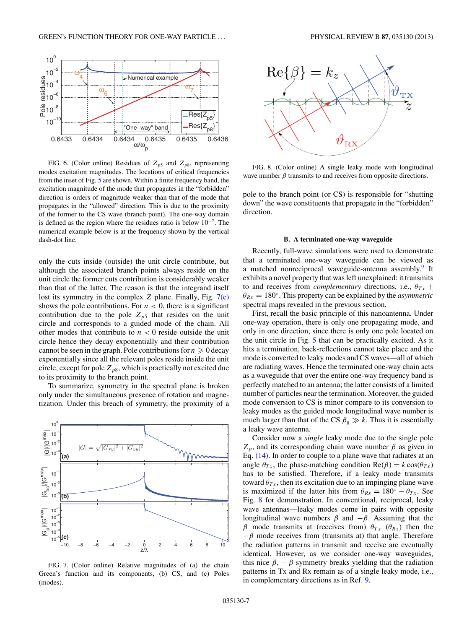<span id="page-6-0"></span>

FIG. 6. (Color online) Residues of  $Z_{p5}$  and  $Z_{p8}$ , representing modes excitation magnitudes. The locations of critical frequencies from the inset of Fig. [5](#page-5-0) are shown. Within a finite frequency band, the excitation magnitude of the mode that propagates in the "forbidden" direction is orders of magnitude weaker than that of the mode that propagates in the "allowed" direction. This is due to the proximity of the former to the CS wave (branch point). The one-way domain is defined as the region where the residues ratio is below 10<sup>−</sup>2. The numerical example below is at the frequency shown by the vertical dash-dot line.

only the cuts inside (outside) the unit circle contribute, but although the associated branch points always reside on the unit circle the former cuts contribution is considerably weaker than that of the latter. The reason is that the integrand itself lost its symmetry in the complex *Z* plane. Finally, Fig. 7(c) shows the pole contributions. For  $n < 0$ , there is a significant contribution due to the pole  $Z_{p5}$  that resides on the unit circle and corresponds to a guided mode of the chain. All other modes that contribute to  $n < 0$  reside outside the unit circle hence they decay exponentially and their contribution cannot be seen in the graph. Pole contributions for  $n \geqslant 0$  decay exponentially since all the relevant poles reside inside the unit circle, except for pole  $Z_{p8}$ , which is practically not excited due to its proximity to the branch point.

To summarize, symmetry in the spectral plane is broken only under the simultaneous presence of rotation and magnetization. Under this breach of symmetry, the proximity of a



FIG. 7. (Color online) Relative magnitudes of (a) the chain Green's function and its components, (b) CS, and (c) Poles (modes).



FIG. 8. (Color online) A single leaky mode with longitudinal wave number  $\beta$  transmits to and receives from opposite directions.

pole to the branch point (or CS) is responsible for "shutting down" the wave constituents that propagate in the "forbidden" direction.

### **B. A terminated one-way waveguide**

Recently, full-wave simulations were used to demonstrate that a terminated one-way waveguide can be viewed as a matched nonreciprocal waveguide-antenna assembly.<sup>9</sup> It exhibits a novel property that was left unexplained: it transmits to and receives from *complementary* directions, i.e.,  $\theta_{Tx}$  +  $\theta_{Rx} = 180^\circ$ . This property can be explained by the *asymmetric* spectral maps revealed in the previous section.

First, recall the basic principle of this nanoantenna. Under one-way operation, there is only one propagating mode, and only in one direction, since there is only one pole located on the unit circle in Fig. [5](#page-5-0) that can be practically excited. As it hits a termination, back-reflections cannot take place and the mode is converted to leaky modes and CS waves—all of which are radiating waves. Hence the terminated one-way chain acts as a waveguide that over the entire one-way frequency band is perfectly matched to an antenna; the latter consists of a limited number of particles near the termination. Moreover, the guided mode conversion to CS is minor compare to its conversion to leaky modes as the guided mode longitudinal wave number is much larger than that of the CS  $\beta_g \gg k$ . Thus it is essentially a leaky wave antenna.

Consider now a *single* leaky mode due to the single pole  $Z_p$ , and its corresponding chain wave number  $\beta$  as given in Eq. [\(14\).](#page-2-0) In order to couple to a plane wave that radiates at an angle  $\theta_{Tx}$ , the phase-matching condition  $\text{Re}(\beta) = k \cos(\theta_{Tx})$ has to be satisfied. Therefore, if a leaky mode transmits toward  $\theta_{Tx}$ , then its excitation due to an impinging plane wave is maximized if the latter hits from  $\theta_{Rx} = 180^\circ - \theta_{Tx}$ . See Fig. 8 for demonstration. In conventional, reciprocal, leaky wave antennas—leaky modes come in pairs with opposite longitudinal wave numbers  $\beta$  and  $-\beta$ . Assuming that the *β* mode transmits at (receives from)  $θ_{Tx}$  ( $θ_{Rx}$ ) then the  $-\beta$  mode receives from (transmits at) that angle. Therefore the radiation patterns in transmit and receive are eventually identical. However, as we consider one-way waveguides, this nice  $\beta$ ,  $\beta$  symmetry breaks yielding that the radiation patterns in Tx and Rx remain as of a single leaky mode, i.e., in complementary directions as in Ref. [9.](#page-11-0)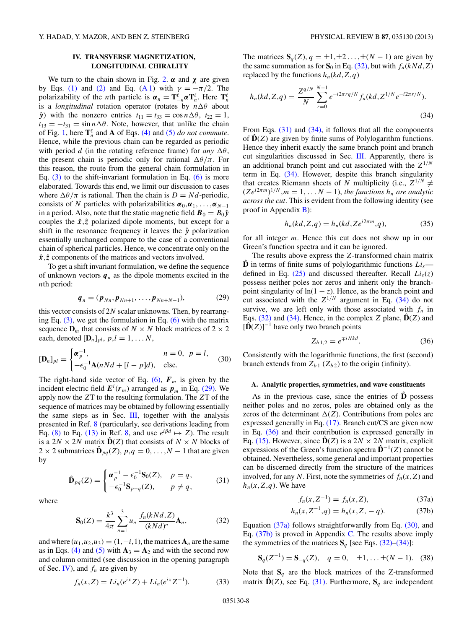## **IV. TRANSVERSE MAGNETIZATION, LONGITUDINAL CHIRALITY**

<span id="page-7-0"></span>We turn to the chain shown in Fig. [2.](#page-1-0)  $\alpha$  and  $\chi$  are given by Eqs. [\(1\)](#page-1-0) and [\(2\)](#page-1-0) and Eq. [\(A 1\)](#page-9-0) with  $\gamma = -\pi/2$ . The polarizability of the *n*th particle is  $\alpha_n = \mathbf{T}^{\ell}_{-n} \alpha \mathbf{T}^{\ell}_n$ . Here  $\mathbf{T}^{\ell}_n$ is a *longitudinal* rotation operator (rotates by *n θ* about  $\hat{y}$ ) with the nonzero entries  $t_{11} = t_{33} = \cos n \Delta \theta$ ,  $t_{22} = 1$ ,  $t_{13} = -t_{31} = \sin n\Delta\theta$ . Note, however, that unlike the chain of Fig. [1,](#page-1-0) here  $\mathbf{T}_n^{\ell}$  and **A** of Eqs. [\(4\)](#page-1-0) and [\(5\)](#page-1-0) *do not commute*. Hence, while the previous chain can be regarded as periodic with period *d* (in the rotating reference frame) for *any*  $\Delta\theta$ , the present chain is periodic only for rational  $\Delta\theta/\pi$ . For this reason, the route from the general chain formulation in Eq.  $(3)$  to the shift-invariant formulation in Eq.  $(6)$  is more elaborated. Towards this end, we limit our discussion to cases where  $\Delta\theta/\pi$  is rational. Then the chain is  $D = Nd$ -periodic, consists of *N* particles with polarizabilities  $\alpha_0, \alpha_1, \ldots, \alpha_{N-1}$ in a period. Also, note that the static magnetic field  $\mathbf{B}_0 = B_0 \hat{\mathbf{y}}$ couples the  $\hat{x}, \hat{z}$  polarized dipole moments, but except for a shift in the resonance frequency it leaves the  $\hat{y}$  polarization essentially unchanged compare to the case of a conventional chain of spherical particles. Hence, we concentrate only on the *x*ˆ*,z*ˆ components of the matrices and vectors involved.

To get a shift invariant formulation, we define the sequence of unknown vectors  $q_n$  as the dipole moments excited in the *n*th period:

$$
\boldsymbol{q}_n = (\boldsymbol{p}_{Nn}, \boldsymbol{p}_{Nn+1}, \dots, \boldsymbol{p}_{Nn+N-1}), \tag{29}
$$

this vector consists of 2*N* scalar unknowns. Then, by rearranging Eq.  $(3)$ , we get the formulation in Eq.  $(6)$  with the matrix sequence  $\mathbf{D}_m$  that consists of  $N \times N$  block matrices of  $2 \times 2$ each, denoted  $[\mathbf{D}_n]_{pl}$ ,  $p, l = 1, \ldots N$ ,

$$
[\mathbf{D}_n]_{pl} = \begin{cases} \boldsymbol{\alpha}_p^{-1}, & n = 0, \ p = l, \\ -\epsilon_0^{-1} \mathbf{A} (nNd + [l - p]d), & \text{else.} \end{cases}
$$
(30)

The right-hand side vector of Eq.  $(6)$ ,  $F_m$  is given by the incident electric field  $E^{i}(r_m)$  arranged as  $p_m$  in Eq. (29). We apply now the *Z*T to the resulting formulation. The *Z*T of the sequence of matrices may be obtained by following essentially the same steps as in Sec.  $III$ , together with the analysis presented in Ref. [8](#page-11-0) (particularly, see derivations leading from Eq. [\(8\)](#page-2-0) to Eq. [\(13\)](#page-2-0) in Ref. [8,](#page-11-0) and use  $e^{i\beta d} \mapsto Z$ ). The result is a  $2N \times 2N$  matrix  $\mathbf{D}(Z)$  that consists of  $N \times N$  blocks of 2 × 2 submatrices  $\hat{\mathbf{D}}_{pq}(Z)$ ,  $p,q = 0, \ldots, N-1$  that are given by

$$
\hat{\mathbf{D}}_{pq}(Z) = \begin{cases} \boldsymbol{\alpha}_p^{-1} - \epsilon_0^{-1} \mathbf{S}_0(Z), & p = q, \\ -\epsilon_0^{-1} \mathbf{S}_{p-q}(Z), & p \neq q, \end{cases}
$$
\n(31)

where

$$
\mathbf{S}_0(Z) = \frac{k^3}{4\pi} \sum_{n=1}^3 u_n \, \frac{f_n(kNd, Z)}{(kNd)^n} \mathbf{A}_n,\tag{32}
$$

and where  $(u_1, u_2, u_3) = (1, -i, 1)$ , the matrices  $\mathbf{A}_n$  are the same as in Eqs. [\(4\)](#page-1-0) and [\(5\)](#page-1-0) with  $A_3 = A_2$  and with the second row and column omitted (see discussion in the opening paragraph of Sec. IV), and  $f_n$  are given by

$$
f_n(x,Z) = Li_n(e^{ix}Z) + Li_n(e^{ix}Z^{-1}).
$$
 (33)

The matrices  $S_q(Z)$ ,  $q = \pm 1, \pm 2, \ldots, \pm (N-1)$  are given by the same summation as for  $S_0$  in Eq. (32), but with  $f_n(kNd, Z)$ replaced by the functions  $h_n(kd, Z, q)$ 

$$
h_n(kd, Z, q) = \frac{Z^{q/N}}{N} \sum_{r=0}^{N-1} e^{-i2\pi r q/N} f_n(kd, Z^{1/N} e^{-i2\pi r/N}).
$$
\n(34)

From Eqs. (31) and (34), it follows that all the components of  $\mathbf{D}(Z)$  are given by finite sums of Polylogarithm functions. Hence they inherit exactly the same branch point and branch cut singularities discussed in Sec. [III.](#page-3-0) Apparently, there is an additional branch point and cut associated with the  $Z^{1/N}$ term in Eq. (34). However, despite this branch singularity that creates Riemann sheets of *N* multiplicity (i.e.,  $Z^{1/N} \neq$  $(Ze^{i2\pi m})^{1/N}$ ,  $m = 1, \ldots N - 1$ , *the functions*  $h_n$  *are analytic across the cut*. This is evident from the following identity (see proof in Appendix [B\)](#page-9-0):

$$
h_n(kd, Z, q) = h_n(kd, Ze^{i2\pi m}, q),
$$
\n(35)

for all integer *m*. Hence this cut does not show up in our Green's function spectra and it can be ignored.

The results above express the *Z*-transformed chain matrix  $\hat{\mathbf{D}}$  in terms of finite sums of polylogarithmic functions  $Li_s$  defined in Eq.  $(25)$  and discussed thereafter. Recall  $Li<sub>s</sub>(z)$ possess neither poles nor zeros and inherit only the branchpoint singularity of  $ln(1 - z)$ . Hence, as the branch point and cut associated with the  $Z^{1/N}$  argument in Eq. (34) do not survive, we are left only with those associated with  $f_n$  in Eqs.  $(32)$  and  $(34)$ . Hence, in the complex *Z* plane,  $\hat{\mathbf{D}}(Z)$  and  $[\hat{D}(Z)]^{-1}$  have only two branch points

$$
Z_{b1,2} = e^{\mp iNkd}.
$$
 (36)

Consistently with the logarithmic functions, the first (second) branch extends from  $Z_{b1}$  ( $Z_{b2}$ ) to the origin (infinity).

### **A. Analytic properties, symmetries, and wave constituents**

As in the previous case, since the entries of  $\hat{\mathbf{D}}$  possess neither poles and no zeros, poles are obtained only as the zeros of the determinant  $\Delta(Z)$ . Contributions from poles are expressed generally in Eq. [\(17\).](#page-3-0) Branch cut/CS are given now in Eq. (36) and their contribution is expressed generally in Eq. [\(15\).](#page-2-0) However, since  $\hat{D}(Z)$  is a 2*N* × 2*N* matrix, explicit expressions of the Green's function spectra  $\hat{\mathbf{D}}^{-1}(Z)$  cannot be obtained. Nevertheless, some general and important properties can be discerned directly from the structure of the matrices involved, for any *N*. First, note the symmetries of  $f_n(x, Z)$  and  $h_n(x, Z, q)$ . We have

$$
f_n(x, Z^{-1}) = f_n(x, Z), \tag{37a}
$$

$$
h_n(x, Z^{-1}, q) = h_n(x, Z, -q). \tag{37b}
$$

Equation (37a) follows straightforwardly from Eq. (30), and Eq.  $(37b)$  is proved in Appendix [C.](#page-9-0) The results above imply the symmetries of the matrices  $S_q$  [see Eqs. (32)–(34)]:

$$
\mathbf{S}_q(Z^{-1}) = \mathbf{S}_{-q}(Z), \quad q = 0, \quad \pm 1, \dots \pm (N-1). \tag{38}
$$

Note that  $S_q$  are the block matrices of the Z-transformed matrix  $\hat{\mathbf{D}}(Z)$ , see Eq. (31). Furthermore,  $\mathbf{S}_q$  are independent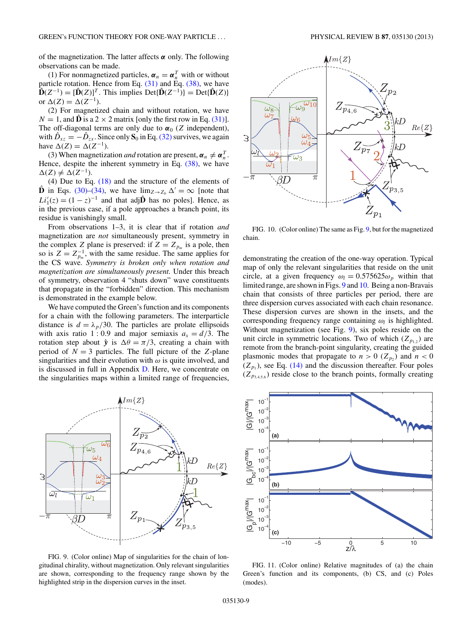<span id="page-8-0"></span>of the magnetization. The latter affects *α* only. The following observations can be made.

(1) For nonmagnetized particles,  $\boldsymbol{\alpha}_n = \boldsymbol{\alpha}_n^T$  with or without particle rotation. Hence from Eq.  $(31)$  and Eq.  $(38)$ , we have  $\mathbf{D}(Z^{-1}) = [\mathbf{D}(Z)]^T$ . This implies  $Det{\{\mathbf{D}(Z^{-1})\}} = Det{\{\mathbf{D}(Z)\}}$ or  $Δ(Z) = Δ(Z^{-1})$ .

(2) For magnetized chain and without rotation, we have  $N = 1$ , and  $\hat{\mathbf{D}}$  is a 2  $\times$  2 matrix [only the first row in Eq. [\(31\)\]](#page-7-0). The off-diagonal terms are only due to  $\alpha_0$  (*Z* independent), with  $\hat{D}_{xz} = -\hat{D}_{zx}$ . Since only  $S_0$  in Eq. [\(32\)](#page-7-0) survives, we again have  $\Delta(Z) = \Delta(Z^{-1})$ .

(3) When magnetization *and* rotation are present,  $\boldsymbol{\alpha}_n \neq \boldsymbol{\alpha}_n^T$ . Hence, despite the inherent symmetry in Eq.  $(38)$ , we have  $\Delta(Z)$  ≠  $\Delta(Z^{-1})$ .

(4) Due to Eq. [\(18\)](#page-3-0) and the structure of the elements of **D** in Eqs. [\(30\)–\(34\),](#page-7-0) we have  $\lim_{Z \to Z_b} \Delta' = \infty$  [note that  $Li'_{1}(z) = (1 - z)^{-1}$  and that adj**D**<sup> $\hat{\mathbf{D}}$ </sup> has no poles]. Hence, as in the previous case, if a pole approaches a branch point, its residue is vanishingly small.

From observations 1–3, it is clear that if rotation *and* magnetization are *not* simultaneously present, symmetry in the complex *Z* plane is preserved: if  $Z = Z_{p_m}$  is a pole, then so is  $Z = Z_{p_m}^{-1}$ , with the same residue. The same applies for the CS wave. *Symmetry is broken only when rotation and magnetization are simultaneously present.* Under this breach of symmetry, observation 4 "shuts down" wave constituents that propagate in the "forbidden" direction. This mechanism is demonstrated in the example below.

We have computed the Green's function and its components for a chain with the following parameters. The interparticle distance is  $d = \lambda_p/30$ . The particles are prolate ellipsoids with axis ratio 1 : 0.9 and major semiaxis  $a_x = d/3$ . The rotation step about  $\hat{y}$  is  $\Delta\theta = \pi/3$ , creating a chain with period of  $N = 3$  particles. The full picture of the *Z*-plane singularities and their evolution with  $\omega$  is quite involved, and is discussed in full in Appendix [D.](#page-10-0) Here, we concentrate on the singularities maps within a limited range of frequencies,



FIG. 9. (Color online) Map of singularities for the chain of longitudinal chirality, without magnetization. Only relevant singularities are shown, corresponding to the frequency range shown by the highlighted strip in the dispersion curves in the inset.



FIG. 10. (Color online) The same as Fig. 9, but for the magnetized chain.

demonstrating the creation of the one-way operation. Typical map of only the relevant singularities that reside on the unit circle, at a given frequency  $\omega_l = 0.575625 \omega_p$  within that limited range, are shown in Figs. 9 and 10. Being a non-Bravais chain that consists of three particles per period, there are three dispersion curves associated with each chain resonance. These dispersion curves are shown in the insets, and the corresponding frequency range containing  $\omega_l$  is highlighted. Without magnetization (see Fig. 9), six poles reside on the unit circle in symmetric locations. Two of which  $(Z_{p_{1,2}})$  are remote from the branch-point singularity, creating the guided plasmonic modes that propagate to  $n > 0$  ( $Z_{p_2}$ ) and  $n < 0$  $(Z_{p_1})$ , see Eq. [\(14\)](#page-2-0) and the discussion thereafter. Four poles  $(Z_{p_{3,4,5,6}})$  reside close to the branch points, formally creating



FIG. 11. (Color online) Relative magnitudes of (a) the chain Green's function and its components, (b) CS, and (c) Poles (modes).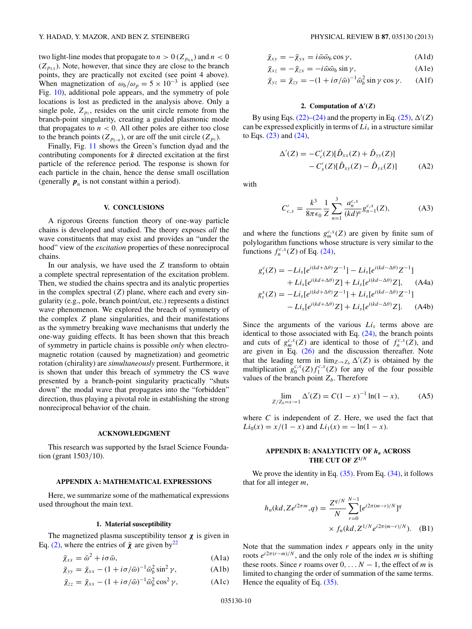<span id="page-9-0"></span>two light-line modes that propagate to  $n > 0$  ( $Z_{p_{4,6}}$ ) and  $n < 0$  $(Z_{p_3,5})$ . Note, however, that since they are close to the branch points, they are practically not excited (see point 4 above). When magnetization of  $\omega_b/\omega_p = 5 \times 10^{-3}$  is applied (see Fig. [10\)](#page-8-0), additional pole appears, and the symmetry of pole locations is lost as predicted in the analysis above. Only a single pole,  $Z_{p_1}$ , resides on the unit circle remote from the branch-point singularity, creating a guided plasmonic mode that propagates to  $n < 0$ . All other poles are either too close to the branch points ( $Z_{p_{2-6}}$ ), or are off the unit circle ( $Z_{p_7}$ ).

Finally, Fig. [11](#page-8-0) shows the Green's function dyad and the contributing components for  $\hat{x}$  directed excitation at the first particle of the reference period. The response is shown for each particle in the chain, hence the dense small oscillation (generally  $p_n$  is not constant within a period).

#### **V. CONCLUSIONS**

A rigorous Greens function theory of one-way particle chains is developed and studied. The theory exposes *all* the wave constituents that may exist and provides an "under the hood" view of the *excitation* properties of these nonreciprocal chains.

In our analysis, we have used the *Z* transform to obtain a complete spectral representation of the excitation problem. Then, we studied the chains spectra and its analytic properties in the complex spectral (*Z*) plane, where each and every singularity (e.g., pole, branch point/cut, etc.) represents a distinct wave phenomenon. We explored the breach of symmetry of the complex *Z* plane singularities, and their manifestations as the symmetry breaking wave mechanisms that underly the one-way guiding effects. It has been shown that this breach of symmetry in particle chains is possible *only* when electromagnetic rotation (caused by magnetization) and geometric rotation (chirality) are *simultaneously* present. Furthermore, it is shown that under this breach of symmetry the CS wave presented by a branch-point singularity practically "shuts down" the modal wave that propagates into the "forbidden" direction, thus playing a pivotal role in establishing the strong nonreciprocal behavior of the chain.

### **ACKNOWLEDGMENT**

This research was supported by the Israel Science Foundation (grant 1503*/*10).

### **APPENDIX A: MATHEMATICAL EXPRESSIONS**

Here, we summarize some of the mathematical expressions used throughout the main text.

#### **1. Material susceptibility**

The magnetized plasma susceptibility tensor *χ* is given in Eq. [\(2\),](#page-1-0) where the entries of  $\bar{\chi}$  are given by<sup>22</sup>

$$
\bar{\chi}_{xx} = \bar{\omega}^2 + i\sigma \bar{\omega},\tag{A1a}
$$

$$
\bar{\chi}_{yy} = \bar{\chi}_{xx} - (1 + i\sigma/\bar{\omega})^{-1} \bar{\omega}_b^2 \sin^2 \gamma,
$$
 (A1b)

$$
\bar{\chi}_{zz} = \bar{\chi}_{xx} - (1 + i\sigma/\bar{\omega})^{-1} \bar{\omega}_b^2 \cos^2 \gamma, \tag{A1c}
$$

$$
\bar{\chi}_{xy} = -\bar{\chi}_{yx} = i\bar{\omega}\bar{\omega}_b \cos \gamma, \tag{A1d}
$$

$$
\bar{\chi}_{xz} = -\bar{\chi}_{zx} = -i\bar{\omega}\bar{\omega}_b \sin \gamma, \tag{A1e}
$$

$$
\bar{\chi}_{yz} = \bar{\chi}_{zy} = -(1 + i\sigma/\bar{\omega})^{-1}\bar{\omega}_b^2 \sin \gamma \cos \gamma.
$$
 (A1f)

#### **2.** Computation of  $\Delta'(Z)$

By using Eqs.  $(22)$ – $(24)$  and the property in Eq.  $(25)$ ,  $\Delta'(Z)$ can be expressed explicitly in terms of  $Li<sub>s</sub>$  in a structure similar to Eqs. [\(23\)](#page-3-0) and [\(24\),](#page-3-0)

$$
\Delta'(Z) = -C_c'(Z)[\hat{D}_{xx}(Z) + \hat{D}_{yy}(Z)] - C_x'(Z)[\hat{D}_{xy}(Z) - \hat{D}_{yx}(Z)]
$$
 (A2)

with

$$
C'_{c,x} = \frac{k^3}{8\pi\epsilon_0} \frac{1}{Z} \sum_{n=1}^3 \frac{a_n^{c,x}}{(kd)^n} g_{n-1}^{c,x}(Z),
$$
 (A3)

and where the functions  $g_m^{c,x}(Z)$  are given by finite sum of polylogarithm functions whose structure is very similar to the functions  $f_n^{c,x}(Z)$  of Eq. [\(24\),](#page-3-0)

$$
g_s^c(Z) = -Li_s[e^{i(kd + \Delta\theta)}Z^{-1}] - Li_s[e^{i(kd - \Delta\theta)}Z^{-1}] + Li_s[e^{i(kd + \Delta\theta)}Z] + Li_s[e^{i(kd - \Delta\theta)}Z],
$$
 (A4a)  

$$
g_s^x(Z) = -Li_s[e^{i(kd + \Delta\theta)}Z^{-1}] + Li_s[e^{i(kd - \Delta\theta)}Z^{-1}] - Li_s[e^{i(kd + \Delta\theta)}Z] + Li_s[e^{i(kd - \Delta\theta)}Z].
$$
 (A4b)

Since the arguments of the various  $Li<sub>s</sub>$  terms above are identical to those associated with Eq. [\(24\),](#page-3-0) the branch points and cuts of  $g_m^{c,x}(Z)$  are identical to those of  $f_n^{c,x}(Z)$ , and are given in Eq. [\(26\)](#page-3-0) and the discussion thereafter. Note that the leading term in  $\lim_{Z\to Z_b} \Delta'(Z)$  is obtained by the multiplication  $g_0^{c,x}(Z) f_1^{c,x}(Z)$  for any of the four possible values of the branch point  $Z_b$ . Therefore

$$
\lim_{Z/Z_b = x \to 1} \Delta'(Z) = C(1 - x)^{-1} \ln(1 - x),
$$
 (A5)

where *C* is independent of *Z*. Here, we used the fact that  $Li_0(x) = x/(1-x)$  and  $Li_1(x) = -\ln(1-x)$ .

## **APPENDIX B: ANALYTICITY OF**  $h_n$  **ACROSS** THE CUT OF  $Z^{1/N}$

We prove the identity in Eq.  $(35)$ . From Eq.  $(34)$ , it follows that for all integer *m*,

$$
h_n(kd, Ze^{i2\pi m}, q) = \frac{Z^{q/N}}{N} \sum_{r=0}^{N-1} [e^{i2\pi(m-r)/N}]^q
$$
  
 
$$
\times f_n(kd, Z^{1/N}e^{i2\pi(m-r)/N}).
$$
 (B1)

Note that the summation index *r* appears only in the unity roots  $e^{i2\pi(r-m)/N}$ , and the only role of the index *m* is shifting these roots. Since *r* roams over  $0, \ldots N - 1$ , the effect of *m* is limited to changing the order of summation of the same terms. Hence the equality of Eq. [\(35\).](#page-7-0)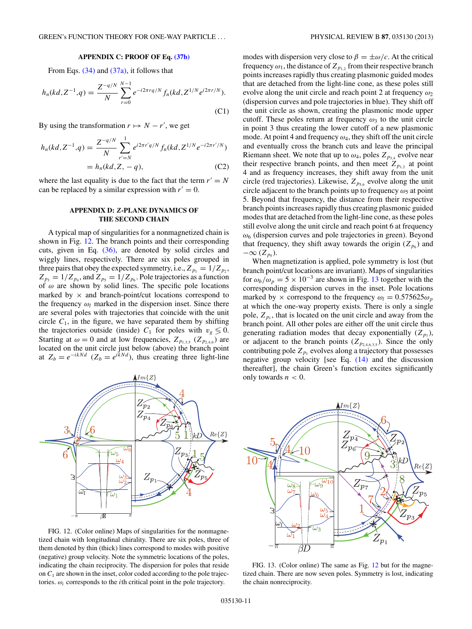## **APPENDIX C: PROOF OF Eq. [\(37b\)](#page-7-0)**

<span id="page-10-0"></span>From Eqs. [\(34\)](#page-7-0) and [\(37a\),](#page-7-0) it follows that

$$
h_n(kd, Z^{-1}, q) = \frac{Z^{-q/N}}{N} \sum_{r=0}^{N-1} e^{-i2\pi r q/N} f_n(kd, Z^{1/N} e^{i2\pi r/N}).
$$
\n(C1)

By using the transformation  $r \mapsto N - r'$ , we get

$$
h_n(kd, Z^{-1}, q) = \frac{Z^{-q/N}}{N} \sum_{r'=N}^{1} e^{i2\pi r'q/N} f_n(kd, Z^{1/N} e^{-i2\pi r'/N})
$$
  
=  $h_n(kd, Z, -q),$  (C2)

where the last equality is due to the fact that the term  $r' = N$ can be replaced by a similar expression with  $r' = 0$ .

## **APPENDIX D:** *Z***-PLANE DYNAMICS OF THE SECOND CHAIN**

A typical map of singularities for a nonmagnetized chain is shown in Fig. 12. The branch points and their corresponding cuts, given in Eq. [\(36\),](#page-7-0) are denoted by solid circles and wiggly lines, respectively. There are six poles grouped in three pairs that obey the expected symmetry, i.e.,  $Z_{p_1} = 1/Z_{p_2}$ ,  $Z_{p_3} = 1/Z_{p_4}$ , and  $Z_{p_5} = 1/Z_{p_6}$ . Pole trajectories as a function of *ω* are shown by solid lines. The specific pole locations marked by  $\times$  and branch-point/cut locations correspond to the frequency  $\omega_l$  marked in the dispersion inset. Since there are several poles with trajectories that coincide with the unit circle  $C_1$ , in the figure, we have separated them by shifting the trajectories outside (inside)  $C_1$  for poles with  $v_g \leq 0$ . Starting at  $\omega = 0$  and at low frequencies,  $Z_{p_{1,3,5}}$  ( $Z_{p_{2,4,6}}$ ) are located on the unit circle just below (above) the branch point at  $Z_b = e^{-ikNd}$  ( $Z_b = e^{ikNd}$ ), thus creating three light-line



FIG. 12. (Color online) Maps of singularities for the nonmagnetized chain with longitudinal chirality. There are six poles, three of them denoted by thin (thick) lines correspond to modes with positive (negative) group velocity. Note the symmetric locations of the poles, indicating the chain reciprocity. The dispersion for poles that reside on  $C_1$  are shown in the inset, color coded according to the pole trajectories.  $\omega_i$  corresponds to the *i*th critical point in the pole trajectory.

modes with dispersion very close to  $\beta = \pm \omega/c$ . At the critical frequency  $\omega_1$ , the distance of  $Z_{p_1}$ , from their respective branch points increases rapidly thus creating plasmonic guided modes that are detached from the light-line cone, as these poles still evolve along the unit circle and reach point 2 at frequency *ω*<sup>2</sup> (dispersion curves and pole trajectories in blue). They shift off the unit circle as shown, creating the plasmonic mode upper cutoff. These poles return at frequency  $\omega_3$  to the unit circle in point 3 thus creating the lower cutoff of a new plasmonic mode. At point 4 and frequency  $\omega_4$ , they shift off the unit circle and eventually cross the branch cuts and leave the principal Riemann sheet. We note that up to  $\omega_4$ , poles  $Z_{p_{3,4}}$  evolve near their respective branch points, and then meet  $Z_{p_{1,2}}$  at point 4 and as frequency increases, they shift away from the unit circle (red trajectories). Likewise,  $Z_{p_{5,6}}$  evolve along the unit circle adjacent to the branch points up to frequency  $\omega_5$  at point 5. Beyond that frequency, the distance from their respective branch points increases rapidly thus creating plasmonic guided modes that are detached from the light-line cone, as these poles still evolve along the unit circle and reach point 6 at frequency *ω*<sup>6</sup> (dispersion curves and pole trajectories in green). Beyond that frequency, they shift away towards the origin  $(Z_{p_6})$  and  $-\infty$  ( $Z_{p_5}$ ).

When magnetization is applied, pole symmetry is lost (but branch point/cut locations are invariant). Maps of singularities for  $\omega_b/\omega_p = 5 \times 10^{-3}$  are shown in Fig. 13 together with the corresponding dispersion curves in the inset. Pole locations marked by  $\times$  correspond to the frequency  $\omega_l = 0.575625\omega_p$ at which the one-way property exists. There is only a single pole,  $Z_{p_1}$ , that is located on the unit circle and away from the branch point. All other poles are either off the unit circle thus generating radiation modes that decay exponentially  $(Z_{p_7})$ , or adjacent to the branch points  $(Z_{p_{2,4,6,3,5}})$ . Since the only contributing pole  $Z_{p_1}$  evolves along a trajectory that possesses negative group velocity [see Eq. [\(14\)](#page-2-0) and the discussion thereafter], the chain Green's function excites significantly only towards  $n < 0$ .



FIG. 13. (Color online) The same as Fig. 12 but for the magnetized chain. There are now seven poles. Symmetry is lost, indicating the chain nonreciprocity.